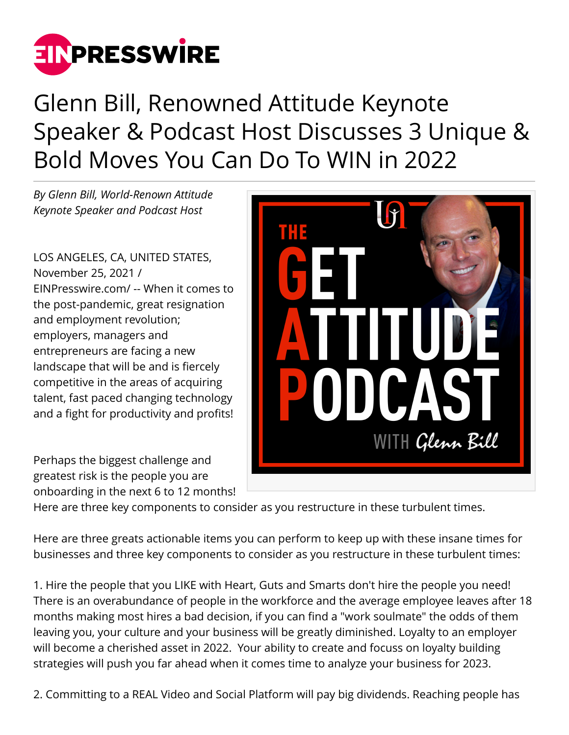

## Glenn Bill, Renowned Attitude Keynote Speaker & Podcast Host Discusses 3 Unique & Bold Moves You Can Do To WIN in 2022

*By Glenn Bill, World-Renown Attitude Keynote Speaker and Podcast Host*

LOS ANGELES, CA, UNITED STATES, November 25, 2021 / [EINPresswire.com](http://www.einpresswire.com)/ -- When it comes to the post-pandemic, great resignation and employment revolution; employers, managers and entrepreneurs are facing a new landscape that will be and is fiercely competitive in the areas of acquiring talent, fast paced changing technology and a fight for productivity and profits!

Perhaps the biggest challenge and greatest risk is the people you are onboarding in the next 6 to 12 months!



Here are three key components to consider as you restructure in these turbulent times.

Here are three greats actionable items you can perform to keep up with these insane times for businesses and three key components to consider as you restructure in these turbulent times:

1. Hire the people that you LIKE with Heart, Guts and Smarts don't hire the people you need! There is an overabundance of people in the workforce and the average employee leaves after 18 months making most hires a bad decision, if you can find a "work soulmate" the odds of them leaving you, your culture and your business will be greatly diminished. Loyalty to an employer will become a cherished asset in 2022. Your ability to create and focuss on loyalty building strategies will push you far ahead when it comes time to analyze your business for 2023.

2. Committing to a REAL Video and Social Platform will pay big dividends. Reaching people has